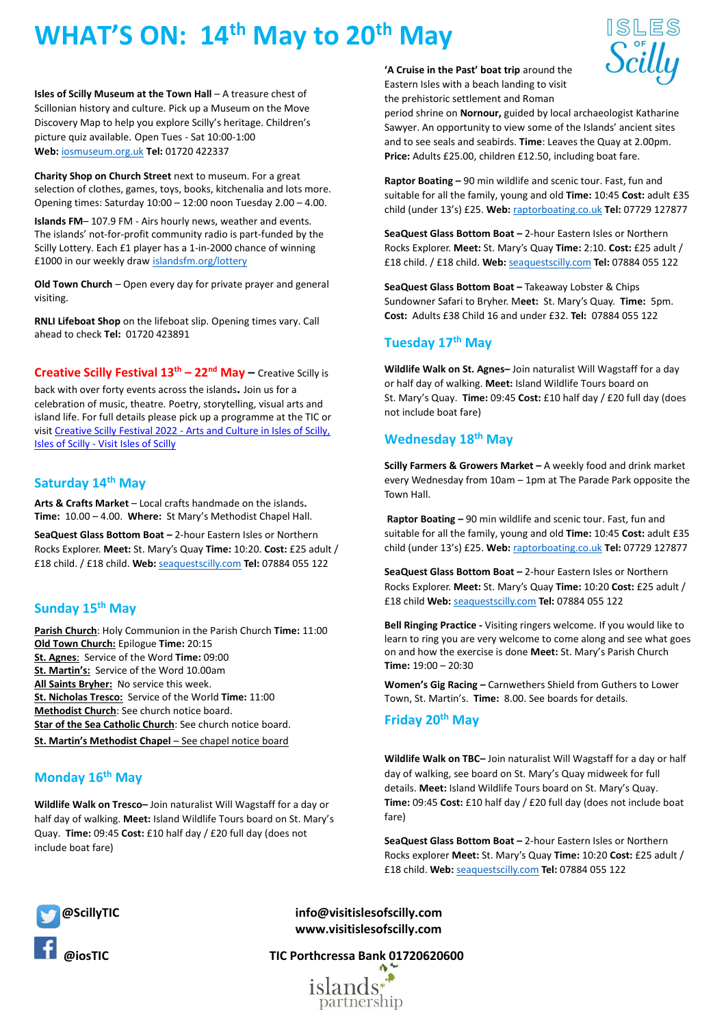# **WHAT'S ON: 14th May to 20th May**

**Isles of Scilly Museum at the Town Hall** – A treasure chest of Scillonian history and culture. Pick up a Museum on the Move Discovery Map to help you explore Scilly's heritage. Children's picture quiz available. Open Tues - Sat 10:00-1:00 **Web:** [iosmuseum.org.uk](http://www.iosmuseum.org.uk/) **Tel:** 01720 422337

**Charity Shop on Church Street** next to museum. For a great selection of clothes, games, toys, books, kitchenalia and lots more. Opening times: Saturday 10:00 – 12:00 noon Tuesday 2.00 – 4.00.

**Islands FM**– 107.9 FM - Airs hourly news, weather and events. The islands' not-for-profit community radio is part-funded by the Scilly Lottery. Each £1 player has a 1-in-2000 chance of winning £1000 in our weekly draw [islandsfm.org/lottery](http://www.islandsfm.org/lottery)

**Old Town Church** – Open every day for private prayer and general visiting.

**RNLI Lifeboat Shop** on the lifeboat slip. Opening times vary. Call ahead to check **Tel:** 01720 423891

**Creative Scilly Festival 13th – 22nd May –** Creative Scilly is back with over forty events across the islands**.** Join us for a celebration of music, theatre. Poetry, storytelling, visual arts and island life. For full details please pick up a programme at the TIC or visit Creative Scilly Festival 2022 - [Arts and Culture in Isles of Scilly,](https://www.visitislesofscilly.com/experience/whats-on/creative-scilly-festival-2022-p2820993)  Isles of Scilly - [Visit Isles of Scilly](https://www.visitislesofscilly.com/experience/whats-on/creative-scilly-festival-2022-p2820993)

### **Saturday 14th May**

**Arts & Crafts Market** – Local crafts handmade on the islands**. Time:** 10.00 – 4.00. **Where:** St Mary's Methodist Chapel Hall.

**SeaQuest Glass Bottom Boat –** 2-hour Eastern Isles or Northern Rocks Explorer. **Meet:** St. Mary's Quay **Time:** 10:20. **Cost:** £25 adult / £18 child. / £18 child. **Web:** [seaquestscilly.com](http://www.seaquestscilly.com/) **Tel:** 07884 055 122

## **Sunday 15th May**

**Parish Church**: Holy Communion in the Parish Church **Time:** 11:00 **Old Town Church:** Epilogue **Time:** 20:15 **St. Agnes**: Service of the Word **Time:** 09:00 **St. Martin's:** Service of the Word 10.00am **All Saints Bryher:** No service this week. **St. Nicholas Tresco:** Service of the World **Time:** 11:00 **Methodist Church**: See church notice board. **Star of the Sea Catholic Church**: See church notice board. **St. Martin's Methodist Chapel** – See chapel notice board

# **Monday 16th May**

**Wildlife Walk on Tresco–** Join naturalist Will Wagstaff for a day or half day of walking. **Meet:** Island Wildlife Tours board on St. Mary's Quay. **Time:** 09:45 **Cost:** £10 half day / £20 full day (does not include boat fare)

**'A Cruise in the Past' boat trip** around the Eastern Isles with a beach landing to visit the prehistoric settlement and Roman



period shrine on **Nornour,** guided by local archaeologist Katharine Sawyer. An opportunity to view some of the Islands' ancient sites and to see seals and seabirds. **Time**: Leaves the Quay at 2.00pm. **Price:** Adults £25.00, children £12.50, including boat fare.

**Raptor Boating –** 90 min wildlife and scenic tour. Fast, fun and suitable for all the family, young and old **Time:** 10:45 **Cost:** adult £35 child (under 13's) £25. **Web:** [raptorboating.co.uk](http://www.raptorboating.co.uk/) **Tel:** 07729 127877

**SeaQuest Glass Bottom Boat –** 2-hour Eastern Isles or Northern Rocks Explorer. **Meet:** St. Mary's Quay **Time:** 2:10. **Cost:** £25 adult / £18 child. / £18 child. **Web:** [seaquestscilly.com](http://www.seaquestscilly.com/) **Tel:** 07884 055 122

**SeaQuest Glass Bottom Boat –** Takeaway Lobster & Chips Sundowner Safari to Bryher. M**eet:** St. Mary's Quay. **Time:** 5pm. **Cost:** Adults £38 Child 16 and under £32. **Tel:** 07884 055 122

## **Tuesday 17th May**

**Wildlife Walk on St. Agnes–** Join naturalist Will Wagstaff for a day or half day of walking. **Meet:** Island Wildlife Tours board on St. Mary's Quay. **Time:** 09:45 **Cost:** £10 half day / £20 full day (does not include boat fare)

## **Wednesday 18 th May**

**Scilly Farmers & Growers Market –** A weekly food and drink market every Wednesday from 10am – 1pm at The Parade Park opposite the Town Hall.

**Raptor Boating –** 90 min wildlife and scenic tour. Fast, fun and suitable for all the family, young and old **Time:** 10:45 **Cost:** adult £35 child (under 13's) £25. **Web:** [raptorboating.co.uk](http://www.raptorboating.co.uk/) **Tel:** 07729 127877

**SeaQuest Glass Bottom Boat –** 2-hour Eastern Isles or Northern Rocks Explorer. **Meet:** St. Mary's Quay **Time:** 10:20 **Cost:** £25 adult / £18 child **Web:** [seaquestscilly.com](http://www.seaquestscilly.com/) **Tel:** 07884 055 122

**Bell Ringing Practice -** Visiting ringers welcome. If you would like to learn to ring you are very welcome to come along and see what goes on and how the exercise is done **Meet:** St. Mary's Parish Church **Time:** 19:00 – 20:30

**Women's Gig Racing –** Carnwethers Shield from Guthers to Lower Town, St. Martin's. **Time:** 8.00. See boards for details.

## **Friday 20th May**

**Wildlife Walk on TBC–** Join naturalist Will Wagstaff for a day or half day of walking, see board on St. Mary's Quay midweek for full details. **Meet:** Island Wildlife Tours board on St. Mary's Quay. **Time:** 09:45 **Cost:** £10 half day / £20 full day (does not include boat fare)

**SeaQuest Glass Bottom Boat –** 2-hour Eastern Isles or Northern Rocks explorer **Meet:** St. Mary's Quay **Time:** 10:20 **Cost:** £25 adult / £18 child. **Web:** [seaquestscilly.com](http://www.seaquestscilly.com/) **Tel:** 07884 055 122



 **@ScillyTIC info@visitislesofscilly.com www.visitislesofscilly.com**

 **@iosTIC TIC Porthcressa Bank 01720620600**